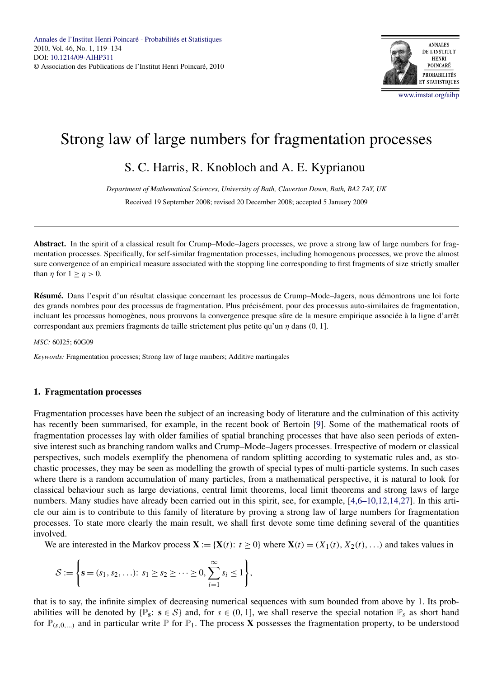

# Strong law of large numbers for fragmentation processes

# S. C. Harris, R. Knobloch and A. E. Kyprianou

*Department of Mathematical Sciences, University of Bath, Claverton Down, Bath, BA2 7AY, UK* Received 19 September 2008; revised 20 December 2008; accepted 5 January 2009

**Abstract.** In the spirit of a classical result for Crump–Mode–Jagers processes, we prove a strong law of large numbers for fragmentation processes. Specifically, for self-similar fragmentation processes, including homogenous processes, we prove the almost sure convergence of an empirical measure associated with the stopping line corresponding to first fragments of size strictly smaller than  $\eta$  for  $1 \geq \eta > 0$ .

**Résumé.** Dans l'esprit d'un résultat classique concernant les processus de Crump–Mode–Jagers, nous démontrons une loi forte des grands nombres pour des processus de fragmentation. Plus précisément, pour des processus auto-similaires de fragmentation, incluant les processus homogènes, nous prouvons la convergence presque sûre de la mesure empirique associée à la ligne d'arrêt correspondant aux premiers fragments de taille strictement plus petite qu'un *η* dans *(*0*,* 1].

*MSC:* 60J25; 60G09

*Keywords:* Fragmentation processes; Strong law of large numbers; Additive martingales

# **1. Fragmentation processes**

Fragmentation processes have been the subject of an increasing body of literature and the culmination of this activity has recently been summarised, for example, in the recent book of Bertoin [\[9\]](#page-15-0). Some of the mathematical roots of fragmentation processes lay with older families of spatial branching processes that have also seen periods of extensive interest such as branching random walks and Crump–Mode–Jagers processes. Irrespective of modern or classical perspectives, such models exemplify the phenomena of random splitting according to systematic rules and, as stochastic processes, they may be seen as modelling the growth of special types of multi-particle systems. In such cases where there is a random accumulation of many particles, from a mathematical perspective, it is natural to look for classical behaviour such as large deviations, central limit theorems, local limit theorems and strong laws of large numbers. Many studies have already been carried out in this spirit, see, for example, [\[4,6–10,12,14,27\]](#page-15-0). In this article our aim is to contribute to this family of literature by proving a strong law of large numbers for fragmentation processes. To state more clearly the main result, we shall first devote some time defining several of the quantities involved.

We are interested in the Markov process  $\mathbf{X} := \{ \mathbf{X}(t): t \geq 0 \}$  where  $\mathbf{X}(t) = (X_1(t), X_2(t), \ldots)$  and takes values in

$$
S := \left\{ \mathbf{s} = (s_1, s_2, \ldots): s_1 \ge s_2 \ge \cdots \ge 0, \sum_{i=1}^{\infty} s_i \le 1 \right\},\
$$

that is to say, the infinite simplex of decreasing numerical sequences with sum bounded from above by 1. Its probabilities will be denoted by  $\{\mathbb{P}_s: s \in \mathcal{S}\}\$  and, for  $s \in (0, 1]$ , we shall reserve the special notation  $\mathbb{P}_s$  as short hand for  $\mathbb{P}_{(s,0,\ldots)}$  and in particular write  $\mathbb{P}$  for  $\mathbb{P}_1$ . The process **X** possesses the fragmentation property, to be understood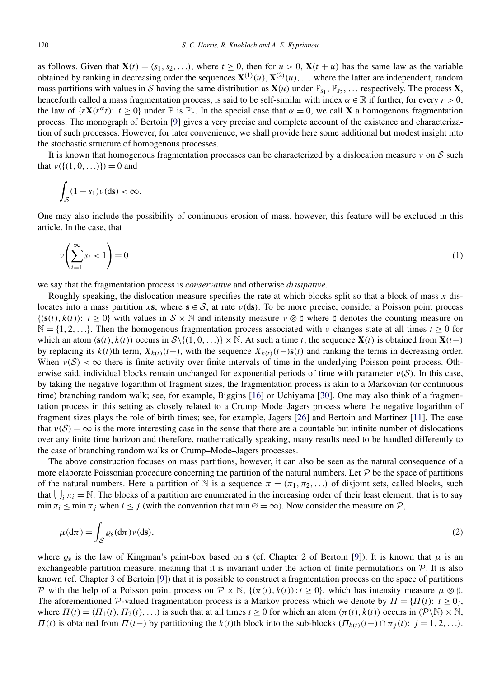<span id="page-1-0"></span>as follows. Given that  $\mathbf{X}(t) = (s_1, s_2, \ldots)$ , where  $t \geq 0$ , then for  $u > 0$ ,  $\mathbf{X}(t + u)$  has the same law as the variable obtained by ranking in decreasing order the sequences  $X^{(1)}(u)$ ,  $X^{(2)}(u)$ , ... where the latter are independent, random mass partitions with values in S having the same distribution as  $\mathbf{X}(u)$  under  $\mathbb{P}_{s_1}, \mathbb{P}_{s_2}, \dots$  respectively. The process **X**, henceforth called a mass fragmentation process, is said to be self-similar with index  $\alpha \in \mathbb{R}$  if further, for every  $r > 0$ , the law of  $\{r\mathbf{X}(r^{\alpha}t): t \geq 0\}$  under  $\mathbb{P}$  is  $\mathbb{P}_r$ . In the special case that  $\alpha = 0$ , we call **X** a homogenous fragmentation process. The monograph of Bertoin [\[9\]](#page-15-0) gives a very precise and complete account of the existence and characterization of such processes. However, for later convenience, we shall provide here some additional but modest insight into the stochastic structure of homogenous processes.

It is known that homogenous fragmentation processes can be characterized by a dislocation measure *ν* on S such that  $v({(1, 0, ...)}) = 0$  and

$$
\int_{\mathcal{S}} (1-s_1)\nu(\mathrm{d}s) < \infty.
$$

One may also include the possibility of continuous erosion of mass, however, this feature will be excluded in this article. In the case, that

$$
\nu\left(\sum_{i=1}^{\infty} s_i < 1\right) = 0\tag{1}
$$

we say that the fragmentation process is *conservative* and otherwise *dissipative*.

Roughly speaking, the dislocation measure specifies the rate at which blocks split so that a block of mass *x* dislocates into a mass partition *x***s**, where  $s \in S$ , at rate  $v$ (ds). To be more precise, consider a Poisson point process  $\{(s(t), k(t)) : t \geq 0\}$  with values in  $S \times \mathbb{N}$  and intensity measure  $\nu \otimes \sharp$  where  $\sharp$  denotes the counting measure on  $\mathbb{N} = \{1, 2, \ldots\}$ . Then the homogenous fragmentation process associated with *ν* changes state at all times  $t \ge 0$  for which an atom  $(s(t), k(t))$  occurs in  $S\{(1, 0, \ldots)\}\times\mathbb{N}$ . At such a time *t*, the sequence  $X(t)$  is obtained from  $X(t)$ by replacing its  $k(t)$ th term,  $X_{k(t)}(t-)$ , with the sequence  $X_{k(t)}(t-)$ **s** $(t)$  and ranking the terms in decreasing order. When  $\nu(S) < \infty$  there is finite activity over finite intervals of time in the underlying Poisson point process. Otherwise said, individual blocks remain unchanged for exponential periods of time with parameter *ν(*S*)*. In this case, by taking the negative logarithm of fragment sizes, the fragmentation process is akin to a Markovian (or continuous time) branching random walk; see, for example, Biggins [\[16\]](#page-15-0) or Uchiyama [\[30\]](#page-15-0). One may also think of a fragmentation process in this setting as closely related to a Crump–Mode–Jagers process where the negative logarithm of fragment sizes plays the role of birth times; see, for example, Jagers [\[26\]](#page-15-0) and Bertoin and Martinez [\[11\]](#page-15-0). The case that  $\nu(\mathcal{S}) = \infty$  is the more interesting case in the sense that there are a countable but infinite number of dislocations over any finite time horizon and therefore, mathematically speaking, many results need to be handled differently to the case of branching random walks or Crump–Mode–Jagers processes.

The above construction focuses on mass partitions, however, it can also be seen as the natural consequence of a more elaborate Poissonian procedure concerning the partition of the natural numbers. Let  $\mathcal P$  be the space of partitions of the natural numbers. Here a partition of N is a sequence  $\pi = (\pi_1, \pi_2, \ldots)$  of disjoint sets, called blocks, such that  $\bigcup_i \pi_i = \mathbb{N}$ . The blocks of a partition are enumerated in the increasing order of their least element; that is to say  $\min \pi_i \leq \min \pi_j$  when  $i \leq j$  (with the convention that  $\min \emptyset = \infty$ ). Now consider the measure on P,

$$
\mu(\mathrm{d}\pi) = \int_{\mathcal{S}} \varrho_{\mathbf{s}}(\mathrm{d}\pi)\nu(\mathrm{d}\mathbf{s}),\tag{2}
$$

where  $\rho_s$  is the law of Kingman's paint-box based on **s** (cf. Chapter 2 of Bertoin [\[9\]](#page-15-0)). It is known that  $\mu$  is an exchangeable partition measure, meaning that it is invariant under the action of finite permutations on  $P$ . It is also known (cf. Chapter 3 of Bertoin [\[9\]](#page-15-0)) that it is possible to construct a fragmentation process on the space of partitions P with the help of a Poisson point process on  $\mathcal{P} \times \mathbb{N}$ ,  $\{(\pi(t), k(t)) : t \geq 0\}$ , which has intensity measure  $\mu \otimes \sharp$ . The aforementioned P-valued fragmentation process is a Markov process which we denote by  $\Pi = \{ \Pi(t) : t \geq 0 \}$ , where  $\Pi(t) = (\Pi_1(t), \Pi_2(t), \ldots)$  is such that at all times  $t \ge 0$  for which an atom  $(\pi(t), k(t))$  occurs in  $(\mathcal{P} \backslash \mathbb{N}) \times \mathbb{N}$ , *Π(t)* is obtained from *Π(t*−*)* by partitioning the *k(t)*th block into the sub-blocks  $(Π<sub>k(t)</sub>(t−) ∩ π<sub>j</sub>(t));$  *j* = 1*,* 2*,...*).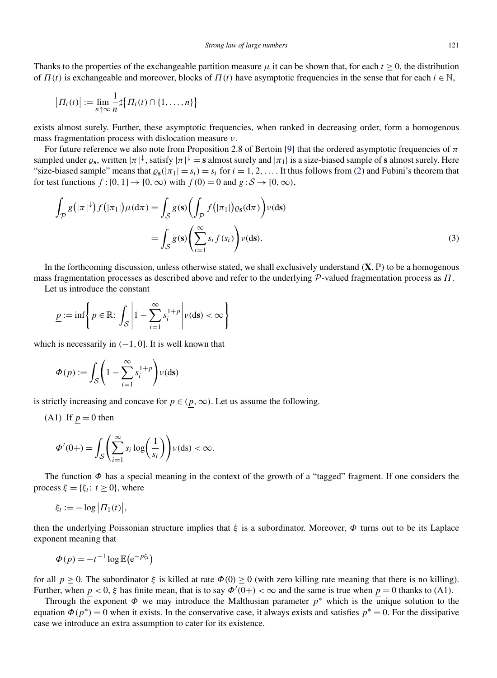<span id="page-2-0"></span>Thanks to the properties of the exchangeable partition measure  $\mu$  it can be shown that, for each  $t \geq 0$ , the distribution of  $\Pi(t)$  is exchangeable and moreover, blocks of  $\Pi(t)$  have asymptotic frequencies in the sense that for each  $i \in \mathbb{N}$ ,

$$
| \Pi_i(t) | := \lim_{n \uparrow \infty} \frac{1}{n} \sharp \{ \Pi_i(t) \cap \{1,\ldots,n\} \}
$$

exists almost surely. Further, these asymptotic frequencies, when ranked in decreasing order, form a homogenous mass fragmentation process with dislocation measure *ν*.

For future reference we also note from Proposition 2.8 of Bertoin [\[9\]](#page-15-0) that the ordered asymptotic frequencies of *π* sampled under  $\varrho_s$ , written  $|\pi|^\downarrow$ , satisfy  $|\pi|^\downarrow =$  **s** almost surely and  $|\pi_1|$  is a size-biased sample of **s** almost surely. Here "size-biased sample" means that  $\rho_s(|\pi_1| = s_i) = s_i$  for  $i = 1, 2, \ldots$ . It thus follows from [\(2\)](#page-1-0) and Fubini's theorem that for test functions  $f:[0,1] \rightarrow [0,\infty)$  with  $f(0) = 0$  and  $g:\mathcal{S} \rightarrow [0,\infty)$ ,

$$
\int_{\mathcal{P}} g\left(|\pi|^{\downarrow}\right) f\left(|\pi_1|\right) \mu(\mathrm{d}\pi) = \int_{\mathcal{S}} g(s) \left(\int_{\mathcal{P}} f\left(|\pi_1|\right) \varrho_s(\mathrm{d}\pi)\right) \nu(\mathrm{d}s) \n= \int_{\mathcal{S}} g(s) \left(\sum_{i=1}^{\infty} s_i f(s_i)\right) \nu(\mathrm{d}s).
$$
\n(3)

In the forthcoming discussion, unless otherwise stated, we shall exclusively understand  $(X, \mathbb{P})$  to be a homogenous mass fragmentation processes as described above and refer to the underlying P-valued fragmentation process as *Π*.

Let us introduce the constant

$$
\underline{p} := \inf \left\{ p \in \mathbb{R} : \int_{\mathcal{S}} \left| 1 - \sum_{i=1}^{\infty} s_i^{1+p} \right| \nu(\mathrm{d}s) < \infty \right\}
$$

which is necessarily in  $(-1, 0]$ . It is well known that

$$
\Phi(p) := \int_{\mathcal{S}} \left(1 - \sum_{i=1}^{\infty} s_i^{1+p}\right) \nu(\text{ds})
$$

is strictly increasing and concave for  $p \in (p, \infty)$ . Let us assume the following.

(A1) If 
$$
p = 0
$$
 then

$$
\Phi'(0+) = \int_{\mathcal{S}} \left( \sum_{i=1}^{\infty} s_i \log \left( \frac{1}{s_i} \right) \right) \nu(\mathrm{d}s) < \infty.
$$

The function *Φ* has a special meaning in the context of the growth of a "tagged" fragment. If one considers the process  $\xi = {\xi_t : t \geq 0}$ , where

$$
\xi_t := -\log \big| \Pi_1(t) \big|,
$$

then the underlying Poissonian structure implies that *ξ* is a subordinator. Moreover, *Φ* turns out to be its Laplace exponent meaning that

$$
\Phi(p) = -t^{-1} \log \mathbb{E} \left( e^{-p\xi_t} \right)
$$

for all *p* ≥ 0. The subordinator *ξ* is killed at rate *Φ(*0*)* ≥ 0 (with zero killing rate meaning that there is no killing). Further, when  $p < 0$ ,  $\xi$  has finite mean, that is to say  $\Phi'(0+) < \infty$  and the same is true when  $p = 0$  thanks to (A1).

Through the exponent  $\Phi$  we may introduce the Malthusian parameter  $p^*$  which is the unique solution to the equation  $\Phi(p^*) = 0$  when it exists. In the conservative case, it always exists and satisfies  $p^* = 0$ . For the dissipative case we introduce an extra assumption to cater for its existence.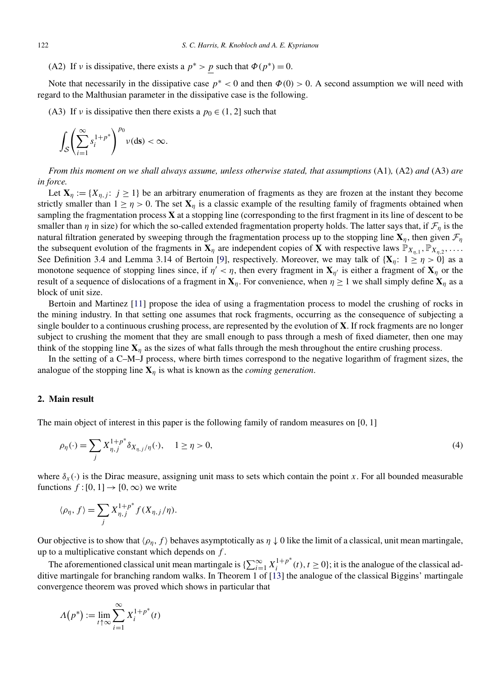<span id="page-3-0"></span>(A2) If *ν* is dissipative, there exists a  $p^* > p$  such that  $\Phi(p^*) = 0$ .

Note that necessarily in the dissipative case  $p^* < 0$  and then  $\Phi(0) > 0$ . A second assumption we will need with regard to the Malthusian parameter in the dissipative case is the following.

(A3) If *ν* is dissipative then there exists a  $p_0 \in (1, 2]$  such that

$$
\int_{\mathcal{S}} \left( \sum_{i=1}^{\infty} s_i^{1+p^*} \right)^{p_0} \nu(\mathrm{d}s) < \infty.
$$

*From this moment on we shall always assume, unless otherwise stated, that assumptions* (A1)*,* (A2) *and* (A3) *are in force.*

Let  $\mathbf{X}_n := \{X_{n,j}: j \geq 1\}$  be an arbitrary enumeration of fragments as they are frozen at the instant they become strictly smaller than  $1 \ge \eta > 0$ . The set  $\mathbf{X}_n$  is a classic example of the resulting family of fragments obtained when sampling the fragmentation process **X** at a stopping line (corresponding to the first fragment in its line of descent to be smaller than *η* in size) for which the so-called extended fragmentation property holds. The latter says that, if  $\mathcal{F}_n$  is the natural filtration generated by sweeping through the fragmentation process up to the stopping line  $X_\eta$ , then given  $\mathcal{F}_\eta$ the subsequent evolution of the fragments in  $X_n$  are independent copies of X with respective laws  $\mathbb{P}_{X_{n}}$ ,  $\mathbb{P}_{X_n}$ ,  $\ldots$ . See Definition 3.4 and Lemma 3.14 of Bertoin [\[9\]](#page-15-0), respectively. Moreover, we may talk of  $\{X_n: 1 \geq n > 0\}$  as a monotone sequence of stopping lines since, if  $\eta' < \eta$ , then every fragment in  $\mathbf{X}_{\eta'}$  is either a fragment of  $\mathbf{X}_{\eta}$  or the result of a sequence of dislocations of a fragment in  $\mathbf{X}_n$ . For convenience, when  $\eta \geq 1$  we shall simply define  $\mathbf{X}_n$  as a block of unit size.

Bertoin and Martinez [\[11\]](#page-15-0) propose the idea of using a fragmentation process to model the crushing of rocks in the mining industry. In that setting one assumes that rock fragments, occurring as the consequence of subjecting a single boulder to a continuous crushing process, are represented by the evolution of **X**. If rock fragments are no longer subject to crushing the moment that they are small enough to pass through a mesh of fixed diameter, then one may think of the stopping line  $X_\eta$  as the sizes of what falls through the mesh throughout the entire crushing process.

In the setting of a C–M–J process, where birth times correspond to the negative logarithm of fragment sizes, the analogue of the stopping line  $X_n$  is what is known as the *coming generation*.

# **2. Main result**

The main object of interest in this paper is the following family of random measures on [0*,* 1]

$$
\rho_{\eta}(\cdot) = \sum_{j} X_{\eta,j}^{1+p^*} \delta_{X_{\eta,j}/\eta}(\cdot), \quad 1 \ge \eta > 0,
$$
\n(4)

where  $\delta_x(\cdot)$  is the Dirac measure, assigning unit mass to sets which contain the point *x*. For all bounded measurable functions  $f:[0,1] \to [0,\infty)$  we write

$$
\langle \rho_{\eta}, f \rangle = \sum_{j} X_{\eta, j}^{1 + p^*} f(X_{\eta, j} / \eta).
$$

Our objective is to show that  $\langle \rho_n, f \rangle$  behaves asymptotically as  $\eta \downarrow 0$  like the limit of a classical, unit mean martingale, up to a multiplicative constant which depends on *f* .

The aforementioned classical unit mean martingale is  $\{\sum_{i=1}^{\infty} X_i^{1+p^*}(t), t \ge 0\}$ ; it is the analogue of the classical additive martingale for branching random walks. In Theorem 1 of [\[13\]](#page-15-0) the analogue of the classical Biggins' martingale convergence theorem was proved which shows in particular that

$$
\Lambda(p^*) := \lim_{t \uparrow \infty} \sum_{i=1}^{\infty} X_i^{1+p^*}(t)
$$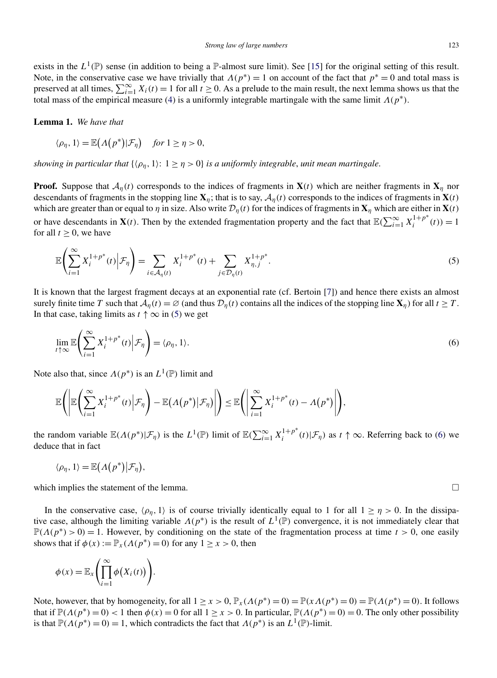<span id="page-4-0"></span>exists in the  $L^1(\mathbb{P})$  sense (in addition to being a  $\mathbb{P}$ -almost sure limit). See [\[15\]](#page-15-0) for the original setting of this result. Note, in the conservative case we have trivially that  $\Lambda(p^*) = 1$  on account of the fact that  $p^* = 0$  and total mass is preserved at all times,  $\sum_{i=1}^{\infty} X_i(t) = 1$  for all  $t \ge 0$ . As a prelude to the main result, the next lemma shows us that the total mass of the empirical measure [\(4\)](#page-3-0) is a uniformly integrable martingale with the same limit  $\Lambda(p^*)$ .

**Lemma 1.** *We have that*

$$
\langle \rho_{\eta}, 1 \rangle = \mathbb{E}(\Lambda(p^*)|\mathcal{F}_{\eta}) \quad \text{for } 1 \ge \eta > 0,
$$

*showing in particular that*  $\{\langle \rho_n, 1 \rangle : 1 \geq \eta > 0\}$  *is a uniformly integrable, unit mean martingale.* 

**Proof.** Suppose that  $A_n(t)$  corresponds to the indices of fragments in **X***(t)* which are neither fragments in **X**<sub>*n*</sub> nor descendants of fragments in the stopping line  $\mathbf{X}_n$ ; that is to say,  $\mathcal{A}_n(t)$  corresponds to the indices of fragments in  $\mathbf{X}(t)$ which are greater than or equal to *η* in size. Also write  $\mathcal{D}_\eta(t)$  for the indices of fragments in  $\mathbf{X}_\eta$  which are either in  $\mathbf{X}(t)$ or have descendants in  $\mathbf{X}(t)$ . Then by the extended fragmentation property and the fact that  $\mathbb{E}(\sum_{i=1}^{\infty} X_i^{1+p^*}(t)) = 1$ for all  $t > 0$ , we have

$$
\mathbb{E}\left(\sum_{i=1}^{\infty} X_i^{1+p^*}(t) \middle| \mathcal{F}_{\eta}\right) = \sum_{i \in \mathcal{A}_{\eta}(t)} X_i^{1+p^*}(t) + \sum_{j \in \mathcal{D}_{\eta}(t)} X_{\eta,j}^{1+p^*}.
$$
 (5)

It is known that the largest fragment decays at an exponential rate (cf. Bertoin [\[7\]](#page-15-0)) and hence there exists an almost surely finite time *T* such that  $A_n(t) = \emptyset$  (and thus  $D_n(t)$  contains all the indices of the stopping line  $\mathbf{X}_n$ ) for all  $t \geq T$ . In that case, taking limits as  $t \uparrow \infty$  in (5) we get

$$
\lim_{t \uparrow \infty} \mathbb{E} \left( \sum_{i=1}^{\infty} X_i^{1+p^*}(t) \middle| \mathcal{F}_\eta \right) = \langle \rho_\eta, 1 \rangle. \tag{6}
$$

Note also that, since  $\Lambda(p^*)$  is an  $L^1(\mathbb{P})$  limit and

$$
\mathbb{E}\Bigg(\Bigg|\mathbb{E}\Bigg(\sum_{i=1}^{\infty}X_i^{1+p^*}(t)\Bigg|\mathcal{F}_{\eta}\Bigg)-\mathbb{E}\big(A\big(p^*\big)\big|\mathcal{F}_{\eta}\big)\Bigg|\Bigg)\leq \mathbb{E}\Bigg(\Bigg|\sum_{i=1}^{\infty}X_i^{1+p^*}(t)-A\big(p^*\big)\Bigg|\Bigg),
$$

the random variable  $\mathbb{E}(A(p^*)|\mathcal{F}_\eta)$  is the  $L^1(\mathbb{P})$  limit of  $\mathbb{E}(\sum_{i=1}^\infty X_i^{1+p^*}(t)|\mathcal{F}_\eta)$  as  $t \uparrow \infty$ . Referring back to (6) we deduce that in fact

$$
\langle \rho_\eta, 1 \rangle = \mathbb{E}(\Lambda(p^*)|\mathcal{F}_\eta)
$$

which implies the statement of the lemma.  $\Box$ 

*,*

In the conservative case,  $\langle \rho_{\eta}, 1 \rangle$  is of course trivially identically equal to 1 for all  $1 \ge \eta > 0$ . In the dissipative case, although the limiting variable  $\Lambda(p^*)$  is the result of  $L^1(\mathbb{P})$  convergence, it is not immediately clear that  $\mathbb{P}(\Lambda(p^*) > 0) = 1$ . However, by conditioning on the state of the fragmentation process at time  $t > 0$ , one easily shows that if  $\phi(x) := \mathbb{P}_x(\Lambda(p^*) = 0)$  for any  $1 \ge x > 0$ , then

$$
\phi(x) = \mathbb{E}_x \left( \prod_{i=1}^{\infty} \phi(X_i(t)) \right).
$$

Note, however, that by homogeneity, for all  $1 \ge x > 0$ ,  $\mathbb{P}_x(A(p^*) = 0) = \mathbb{P}(x \Lambda(p^*) = 0) = \mathbb{P}(A(p^*) = 0)$ . It follows that if  $\mathbb{P}(A(p^*)=0) < 1$  then  $\phi(x) = 0$  for all  $1 \ge x > 0$ . In particular,  $\mathbb{P}(A(p^*)=0) = 0$ . The only other possibility is that  $\mathbb{P}(\Lambda(p^*)=0)=1$ , which contradicts the fact that  $\Lambda(p^*)$  is an  $L^1(\mathbb{P})$ -limit.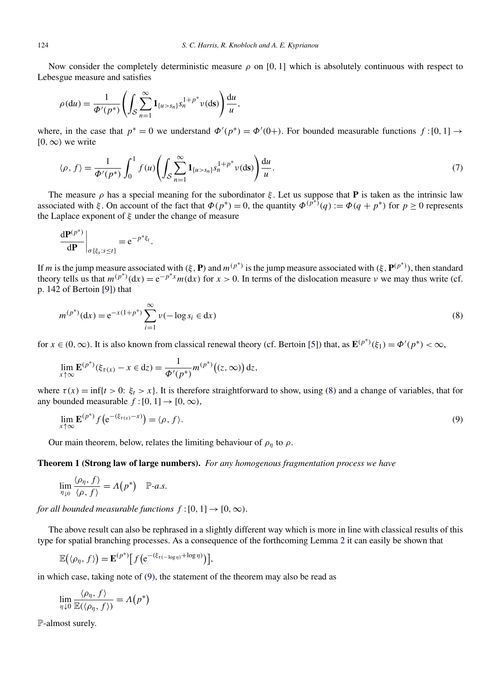<span id="page-5-0"></span>Now consider the completely deterministic measure  $\rho$  on [0, 1] which is absolutely continuous with respect to Lebesgue measure and satisfies

$$
\rho(\mathrm{d}u)=\frac{1}{\Phi'(p^*)}\left(\int_{\mathcal{S}}\sum_{n=1}^{\infty}\mathbf{1}_{\{u>s_n\}}s_n^{1+p^*}v(\mathrm{d}s)\right)\frac{\mathrm{d}u}{u},
$$

where, in the case that  $p^* = 0$  we understand  $\Phi'(p^*) = \Phi'(0+)$ . For bounded measurable functions  $f:[0,1] \to$  $[0, \infty)$  we write

$$
\langle \rho, f \rangle = \frac{1}{\Phi'(p^*)} \int_0^1 f(u) \left( \int_S \sum_{n=1}^\infty \mathbf{1}_{\{u > s_n\}} s_n^{1+p^*} \nu(\text{d}s) \right) \frac{\mathrm{d}u}{u} . \tag{7}
$$

The measure  $\rho$  has a special meaning for the subordinator  $\xi$ . Let us suppose that **P** is taken as the intrinsic law associated with  $\xi$ . On account of the fact that  $\Phi(p^*) = 0$ , the quantity  $\Phi(p^{*}) = \Phi(q + p^*)$  for  $p \ge 0$  represents the Laplace exponent of *ξ* under the change of measure

$$
\left. \frac{\mathrm{d} \mathbf{P}^{(p^*)}}{\mathrm{d} \mathbf{P}} \right|_{\sigma {\{\xi_s : s \leq t\}}} = \mathrm{e}^{-p^* \xi_t}.
$$

If *m* is the jump measure associated with  $(\xi, \mathbf{P})$  and  $m^{(p^*)}$  is the jump measure associated with  $(\xi, \mathbf{P}^{(p^*)})$ , then standard theory tells us that  $m^{(p^*)}(dx) = e^{-p^*x}m(dx)$  for  $x > 0$ . In terms of the dislocation measure *v* we may thus write (cf. p. 142 of Bertoin [\[9\]](#page-15-0)) that

$$
m^{(p^*)}(\mathbf{d}x) = e^{-x(1+p^*)} \sum_{i=1}^{\infty} \nu(-\log s_i \in \mathbf{d}x)
$$
 (8)

for  $x \in (0, \infty)$ . It is also known from classical renewal theory (cf. Bertoin [\[5\]](#page-15-0)) that, as  $\mathbf{E}^{(p^*)}(\xi_1) = \Phi'(p^*) < \infty$ ,

$$
\lim_{x \uparrow \infty} \mathbf{E}^{(p^*)}(\xi_{\tau(x)} - x \in dz) = \frac{1}{\Phi'(p^*)} m^{(p^*)}((z, \infty)) dz,
$$

where  $\tau(x) = \inf\{t > 0: \xi_t > x\}$ . It is therefore straightforward to show, using (8) and a change of variables, that for any bounded measurable  $f:[0, 1] \rightarrow [0, \infty)$ ,

$$
\lim_{x \uparrow \infty} \mathbf{E}^{(p^*)} f\big(e^{-(\xi_{\tau(x)} - x)}\big) = \langle \rho, f \rangle. \tag{9}
$$

Our main theorem, below, relates the limiting behaviour of  $\rho_{\eta}$  to  $\rho$ .

**Theorem 1 (Strong law of large numbers).** *For any homogenous fragmentation process we have*

$$
\lim_{\eta_{\downarrow 0}}\frac{\langle \rho_{\eta},f\rangle}{\langle \rho,f\rangle}=\Lambda(p^*)\quad\mathbb{P}\text{-}a.s.
$$

*for all bounded measurable functions*  $f:[0, 1] \rightarrow [0, \infty)$ .

The above result can also be rephrased in a slightly different way which is more in line with classical results of this type for spatial branching processes. As a consequence of the forthcoming Lemma [2](#page-7-0) it can easily be shown that

$$
\mathbb{E}(\langle \rho_{\eta}, f \rangle) = \mathbf{E}^{(p^*)} \big[ f\big( e^{-(\xi_{\tau}(-\log \eta) + \log \eta)} \big) \big],
$$

in which case, taking note of (9), the statement of the theorem may also be read as

$$
\lim_{\eta \downarrow 0} \frac{\langle \rho_{\eta}, f \rangle}{\mathbb{E}(\langle \rho_{\eta}, f \rangle)} = \Lambda(p^*)
$$

P-almost surely.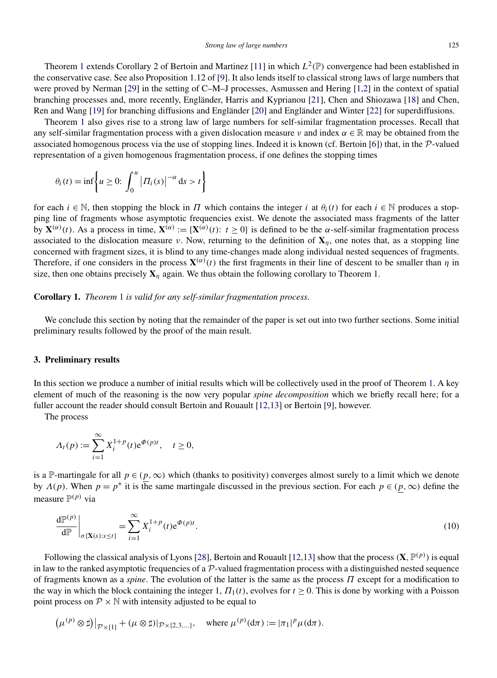Theorem [1](#page-5-0) extends Corollary 2 of Bertoin and Martinez [\[11\]](#page-15-0) in which  $L^2(\mathbb{P})$  convergence had been established in the conservative case. See also Proposition 1.12 of [\[9\]](#page-15-0). It also lends itself to classical strong laws of large numbers that were proved by Nerman [\[29\]](#page-15-0) in the setting of C–M–J processes, Asmussen and Hering [\[1,2\]](#page-14-0) in the context of spatial branching processes and, more recently, Engländer, Harris and Kyprianou [\[21\]](#page-15-0), Chen and Shiozawa [\[18\]](#page-15-0) and Chen, Ren and Wang [\[19\]](#page-15-0) for branching diffusions and Engländer [\[20\]](#page-15-0) and Engländer and Winter [\[22\]](#page-15-0) for superdiffusions.

Theorem [1](#page-5-0) also gives rise to a strong law of large numbers for self-similar fragmentation processes. Recall that any self-similar fragmentation process with a given dislocation measure *ν* and index *α* ∈ R may be obtained from the associated homogenous process via the use of stopping lines. Indeed it is known (cf. Bertoin [\[6\]](#page-15-0)) that, in the  $P$ -valued representation of a given homogenous fragmentation process, if one defines the stopping times

$$
\theta_i(t) = \inf \left\{ u \ge 0 : \int_0^u \left| \Pi_i(s) \right|^{-\alpha} ds > t \right\}
$$

for each  $i \in \mathbb{N}$ , then stopping the block in *Π* which contains the integer *i* at  $\theta_i(t)$  for each  $i \in \mathbb{N}$  produces a stopping line of fragments whose asymptotic frequencies exist. We denote the associated mass fragments of the latter by **. As a process in time,**  $**X**<sup>(α)</sup> := {**X**<sup>(α)</sup>(t): t ≥ 0}$  **is defined to be the** *α***-self-similar fragmentation process** associated to the dislocation measure *ν*. Now, returning to the definition of  $X_n$ , one notes that, as a stopping line concerned with fragment sizes, it is blind to any time-changes made along individual nested sequences of fragments. Therefore, if one considers in the process  $\mathbf{X}^{(\alpha)}(t)$  the first fragments in their line of descent to be smaller than *η* in size, then one obtains precisely  $\mathbf{X}_n$  again. We thus obtain the following corollary to Theorem [1.](#page-5-0)

**Corollary 1.** *Theorem* [1](#page-5-0) *is valid for any self-similar fragmentation process*.

We conclude this section by noting that the remainder of the paper is set out into two further sections. Some initial preliminary results followed by the proof of the main result.

#### **3. Preliminary results**

In this section we produce a number of initial results which will be collectively used in the proof of Theorem [1.](#page-5-0) A key element of much of the reasoning is the now very popular *spine decomposition* which we briefly recall here; for a fuller account the reader should consult Bertoin and Rouault [\[12,13\]](#page-15-0) or Bertoin [\[9\]](#page-15-0), however.

The process

$$
\Lambda_t(p) := \sum_{i=1}^{\infty} X_i^{1+p}(t) e^{\Phi(p)t}, \quad t \ge 0,
$$

is a P-martingale for all  $p \in (p, \infty)$  which (thanks to positivity) converges almost surely to a limit which we denote by  $\Lambda(p)$ . When  $p = p^*$  it is the same martingale discussed in the previous section. For each  $p \in (p, \infty)$  define the measure  $\mathbb{P}^{(p)}$  via

$$
\left. \frac{\mathrm{d}\mathbb{P}^{(p)}}{\mathrm{d}\mathbb{P}} \right|_{\sigma\left\{ \mathbf{X}(s):s\leq t\right\}} = \sum_{i=1}^{\infty} X_i^{1+p}(t) e^{\Phi(p)t} . \tag{10}
$$

Following the classical analysis of Lyons [\[28\]](#page-15-0), Bertoin and Rouault [\[12,13\]](#page-15-0) show that the process  $(X, \mathbb{P}^{(p)})$  is equal in law to the ranked asymptotic frequencies of a  $\mathcal{P}$ -valued fragmentation process with a distinguished nested sequence of fragments known as a *spine*. The evolution of the latter is the same as the process *Π* except for a modification to the way in which the block containing the integer 1,  $\Pi_1(t)$ , evolves for  $t \ge 0$ . This is done by working with a Poisson point process on  $\mathcal{P} \times \mathbb{N}$  with intensity adjusted to be equal to

$$
\left(\mu^{(p)}\otimes \sharp\right)|_{\mathcal{P}\times\{1\}}+(\mu\otimes \sharp)|_{\mathcal{P}\times\{2,3,\ldots\}},\quad \text{where } \mu^{(p)}(\mathrm{d}\pi):=|\pi_1|^p\mu(\mathrm{d}\pi).
$$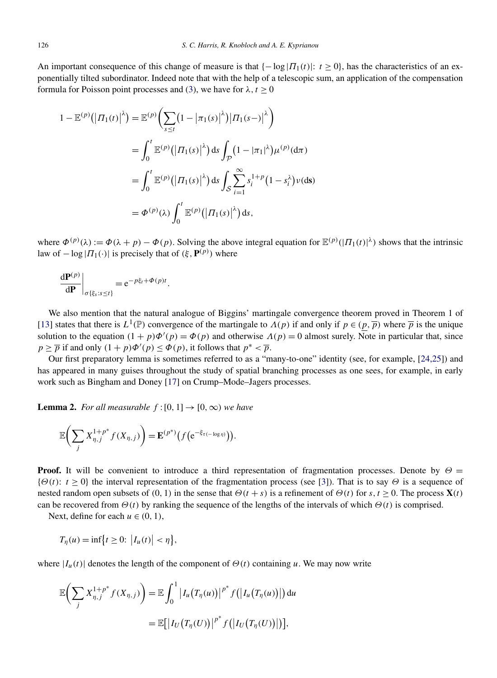<span id="page-7-0"></span>An important consequence of this change of measure is that  $\{-\log |H_1(t)|: t \ge 0\}$ , has the characteristics of an exponentially tilted subordinator. Indeed note that with the help of a telescopic sum, an application of the compensation formula for Poisson point processes and [\(3\)](#page-2-0), we have for  $\lambda, t \geq 0$ 

$$
1 - \mathbb{E}^{(p)}(|\Pi_1(t)|^{\lambda}) = \mathbb{E}^{(p)}\left(\sum_{s \le t} (1 - |\pi_1(s)|^{\lambda})|\Pi_1(s-)|^{\lambda}\right)
$$
  
\n
$$
= \int_0^t \mathbb{E}^{(p)}(|\Pi_1(s)|^{\lambda}) ds \int_{\mathcal{P}} (1 - |\pi_1|^{\lambda})\mu^{(p)}(\mathrm{d}\pi)
$$
  
\n
$$
= \int_0^t \mathbb{E}^{(p)}(|\Pi_1(s)|^{\lambda}) ds \int_{\mathcal{S}} \sum_{i=1}^{\infty} s_i^{1+p} (1 - s_i^{\lambda})\nu(\mathrm{ds})
$$
  
\n
$$
= \Phi^{(p)}(\lambda) \int_0^t \mathbb{E}^{(p)}(|\Pi_1(s)|^{\lambda}) ds,
$$

where  $\Phi^{(p)}(\lambda) := \Phi(\lambda + p) - \Phi(p)$ . Solving the above integral equation for  $\mathbb{E}^{(p)}(|\Pi_1(t)|^{\lambda})$  shows that the intrinsic law of  $-\log |H_1(\cdot)|$  is precisely that of  $(\xi, \mathbf{P}^{(p)})$  where

$$
\left.\frac{\mathrm{d} \mathbf{P}^{(p)}}{\mathrm{d} \mathbf{P}}\right|_{\sigma\{\xi_s:s\leq t\}} = \mathrm{e}^{-p\xi_t+\Phi(p)t}.
$$

We also mention that the natural analogue of Biggins' martingale convergence theorem proved in Theorem 1 of [\[13\]](#page-15-0) states that there is  $L^1(\mathbb{P})$  convergence of the martingale to  $\Lambda(p)$  if and only if  $p \in (p, \overline{p})$  where  $\overline{p}$  is the unique solution to the equation  $(1 + p)\Phi'(p) = \Phi(p)$  and otherwise  $\Lambda(p) = 0$  almost surely. Note in particular that, since *p*  $\geq \overline{p}$  if and only  $(1 + p)\Phi'(p) \leq \Phi(p)$ , it follows that  $p^* < \overline{p}$ .

Our first preparatory lemma is sometimes referred to as a "many-to-one" identity (see, for example, [\[24,25\]](#page-15-0)) and has appeared in many guises throughout the study of spatial branching processes as one sees, for example, in early work such as Bingham and Doney [\[17\]](#page-15-0) on Crump–Mode–Jagers processes.

**Lemma 2.** *For all measurable*  $f:[0,1] \rightarrow [0,\infty)$  *we have* 

$$
\mathbb{E}\bigg(\sum_j X_{\eta,j}^{1+p^*} f(X_{\eta,j})\bigg) = \mathbf{E}^{(p^*)}\big(f\big(e^{-\xi_{\tau(-\log \eta)}}\big)\big).
$$

**Proof.** It will be convenient to introduce a third representation of fragmentation processes. Denote by *Θ* =  ${\lbrace \Theta(t) : t \geq 0 \rbrace}$  the interval representation of the fragmentation process (see [\[3\]](#page-15-0)). That is to say  $\Theta$  is a sequence of nested random open subsets of  $(0, 1)$  in the sense that  $\Theta(t + s)$  is a refinement of  $\Theta(t)$  for  $s, t \ge 0$ . The process  $\mathbf{X}(t)$ can be recovered from  $\Theta(t)$  by ranking the sequence of the lengths of the intervals of which  $\Theta(t)$  is comprised.

Next, define for each  $u \in (0, 1)$ ,

$$
T_{\eta}(u)=\inf\bigl\{t\geq 0\colon \bigl|I_{u}(t)\bigr|<\eta\bigr\},\,
$$

where  $|I_u(t)|$  denotes the length of the component of  $\Theta(t)$  containing *u*. We may now write

$$
\mathbb{E}\bigg(\sum_{j} X_{\eta,j}^{1+p^*} f(X_{\eta,j})\bigg) = \mathbb{E}\int_0^1 \big|I_u\big(T_\eta(u)\big)\big|^{p^*} f\big(\big|I_u\big(T_\eta(u)\big)\big|\big) du
$$
  

$$
= \mathbb{E}\big[\big|I_U\big(T_\eta(U)\big)\big|^{p^*} f\big(\big|I_U\big(T_\eta(U)\big)\big|\big)\big],
$$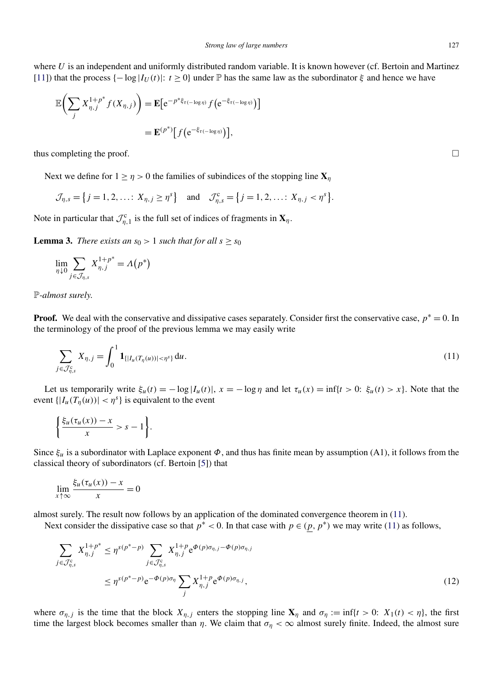<span id="page-8-0"></span>where *U* is an independent and uniformly distributed random variable. It is known however (cf. Bertoin and Martinez [\[11\]](#page-15-0)) that the process  $\{-\log |I_U(t)|: t \geq 0\}$  under  $\mathbb P$  has the same law as the subordinator  $\xi$  and hence we have

$$
\mathbb{E}\bigg(\sum_{j} X_{\eta,j}^{1+p^*} f(X_{\eta,j})\bigg) = \mathbf{E}\big[e^{-p^* \xi_{\tau(-\log \eta)}} f\big(e^{-\xi_{\tau(-\log \eta)}}\big)\big]
$$
  
=  $\mathbf{E}^{(p^*)} [f\big(e^{-\xi_{\tau(-\log \eta)}}\big)],$ 

thus completing the proof.  $\Box$ 

Next we define for  $1 \ge \eta > 0$  the families of subindices of the stopping line  $\mathbf{X}_\eta$ 

$$
\mathcal{J}_{\eta,s} = \{j = 1, 2, \dots; X_{\eta,j} \geq \eta^s\}
$$
 and  $\mathcal{J}_{\eta,s}^c = \{j = 1, 2, \dots; X_{\eta,j} < \eta^s\}.$ 

Note in particular that  $\mathcal{J}_{\eta,1}^c$  is the full set of indices of fragments in  $\mathbf{X}_{\eta}$ .

**Lemma 3.** *There exists an*  $s_0 > 1$  *such that for all*  $s \geq s_0$ 

$$
\lim_{\eta \downarrow 0} \sum_{j \in \mathcal{J}_{\eta,s}} X_{\eta,j}^{1+p^*} = \Lambda(p^*)
$$

P*-almost surely*.

**Proof.** We deal with the conservative and dissipative cases separately. Consider first the conservative case,  $p^* = 0$ . In the terminology of the proof of the previous lemma we may easily write

$$
\sum_{j \in \mathcal{J}_{\eta,s}^c} X_{\eta,j} = \int_0^1 \mathbf{1}_{\{|I_u(T_\eta(u))| < \eta^s\}} \, \mathrm{d}u. \tag{11}
$$

Let us temporarily write  $\xi_u(t) = -\log|I_u(t)|$ ,  $x = -\log \eta$  and let  $\tau_u(x) = \inf\{t > 0: \xi_u(t) > x\}$ . Note that the event  $\{|I_u(T_n(u))| < \eta^s\}$  is equivalent to the event

$$
\left\{\frac{\xi_u(\tau_u(x))-x}{x}>s-1\right\}.
$$

Since *ξu* is a subordinator with Laplace exponent *Φ*, and thus has finite mean by assumption (A1), it follows from the classical theory of subordinators (cf. Bertoin [\[5\]](#page-15-0)) that

$$
\lim_{x \uparrow \infty} \frac{\xi_u(\tau_u(x)) - x}{x} = 0
$$

almost surely. The result now follows by an application of the dominated convergence theorem in (11).

Next consider the dissipative case so that  $p^* < 0$ . In that case with  $p \in (p, p^*)$  we may write (11) as follows,

$$
\sum_{j \in \mathcal{J}_{\eta,s}^c} X_{\eta,j}^{1+p^*} \leq \eta^{s(p^*-p)} \sum_{j \in \mathcal{J}_{\eta,s}^c} X_{\eta,j}^{1+p} e^{\Phi(p)\sigma_{\eta,j} - \Phi(p)\sigma_{\eta,j}} \n\leq \eta^{s(p^*-p)} e^{-\Phi(p)\sigma_{\eta}} \sum_{j} X_{\eta,j}^{1+p} e^{\Phi(p)\sigma_{\eta,j}},
$$
\n(12)

where  $\sigma_{\eta,j}$  is the time that the block  $X_{\eta,j}$  enters the stopping line  $\mathbf{X}_{\eta}$  and  $\sigma_{\eta} := \inf\{t > 0: X_1(t) < \eta\}$ , the first time the largest block becomes smaller than *η*. We claim that  $\sigma_\eta < \infty$  almost surely finite. Indeed, the almost sure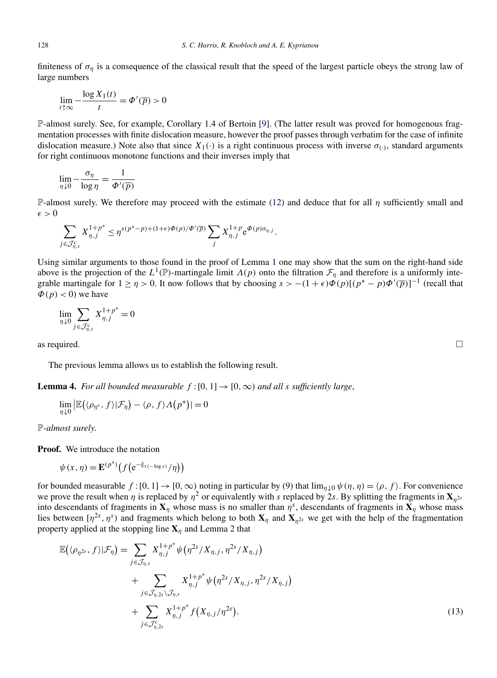<span id="page-9-0"></span>finiteness of  $\sigma_{\eta}$  is a consequence of the classical result that the speed of the largest particle obeys the strong law of large numbers

$$
\lim_{t \uparrow \infty} -\frac{\log X_1(t)}{t} = \Phi'(\overline{p}) > 0
$$

P-almost surely. See, for example, Corollary 1.4 of Bertoin [\[9\]](#page-15-0). (The latter result was proved for homogenous fragmentation processes with finite dislocation measure, however the proof passes through verbatim for the case of infinite dislocation measure.) Note also that since  $X_1(\cdot)$  is a right continuous process with inverse  $\sigma_{(\cdot)}$ , standard arguments for right continuous monotone functions and their inverses imply that

$$
\lim_{\eta \downarrow 0} -\frac{\sigma_{\eta}}{\log \eta} = \frac{1}{\Phi'(\overline{p})}
$$

P-almost surely. We therefore may proceed with the estimate [\(12\)](#page-8-0) and deduce that for all *η* sufficiently small and  $\epsilon > 0$ 

$$
\sum_{j \in \mathcal{J}_{\eta,s}^c} X_{\eta,j}^{1+p^*} \leq \eta^{s(p^*-p)+(1+\epsilon)\Phi(p)/\Phi'(\overline{p})} \sum_j X_{\eta,j}^{1+p} e^{\Phi(p)\sigma_{\eta,j}}.
$$

Using similar arguments to those found in the proof of Lemma [1](#page-4-0) one may show that the sum on the right-hand side above is the projection of the  $L^1(\mathbb{P})$ -martingale limit  $\Lambda(p)$  onto the filtration  $\mathcal{F}_\eta$  and therefore is a uniformly integrable martingale for  $1 \ge \eta > 0$ . It now follows that by choosing  $s > -(1+\epsilon)\phi(p)[(p^* - p)\phi'(\overline{p})]^{-1}$  (recall that  $\Phi(p) < 0$ ) we have

$$
\lim_{\eta\downarrow 0} \sum_{j\in \mathcal{J}_{\eta,s}^{\mathrm{c}}} X_{\eta,j}^{1+p^*} = 0
$$

as required.  $\Box$ 

The previous lemma allows us to establish the following result.

**Lemma 4.** *For all bounded measurable*  $f:[0,1] \rightarrow [0,\infty)$  *and all s sufficiently large*,

$$
\lim_{\eta \downarrow 0} |\mathbb{E}((\rho_{\eta^s}, f) | \mathcal{F}_{\eta}) - \langle \rho, f \rangle \Lambda(p^*)| = 0
$$

P*-almost surely*.

**Proof.** We introduce the notation

$$
\psi(x,\eta) = \mathbf{E}^{(p^*)} \big( f\big( e^{-\xi_{\tau(-\log x)}}/\eta \big) \big)
$$

for bounded measurable  $f:[0,1] \to [0,\infty)$  noting in particular by [\(9\)](#page-5-0) that  $\lim_{n\downarrow 0} \psi(\eta,\eta) = \langle \rho, f \rangle$ . For convenience we prove the result when *η* is replaced by  $\eta^2$  or equivalently with *s* replaced by 2*s*. By splitting the fragments in  $\mathbf{X}_{\eta^{2s}}$ into descendants of fragments in  $X_\eta$  whose mass is no smaller than  $\eta^s$ , descendants of fragments in  $X_\eta$  whose mass lies between  $[\eta^{2s}, \eta^{s}]$  and fragments which belong to both  $X_{\eta}$  and  $X_{\eta^{2s}}$  we get with the help of the fragmentation property applied at the stopping line **X***<sup>η</sup>* and Lemma [2](#page-7-0) that

$$
\mathbb{E}((\rho_{\eta^{2s}}, f)|\mathcal{F}_{\eta}) = \sum_{j \in \mathcal{J}_{\eta,s}} X_{\eta,j}^{1+p^*} \psi(\eta^{2s}/X_{\eta,j}, \eta^{2s}/X_{\eta,j}) \n+ \sum_{j \in \mathcal{J}_{\eta,2s} \setminus \mathcal{J}_{\eta,s}} X_{\eta,j}^{1+p^*} \psi(\eta^{2s}/X_{\eta,j}, \eta^{2s}/X_{\eta,j}) \n+ \sum_{j \in \mathcal{J}_{\eta,2s}} X_{\eta,j}^{1+p^*} f(X_{\eta,j}/\eta^{2s}).
$$
\n(13)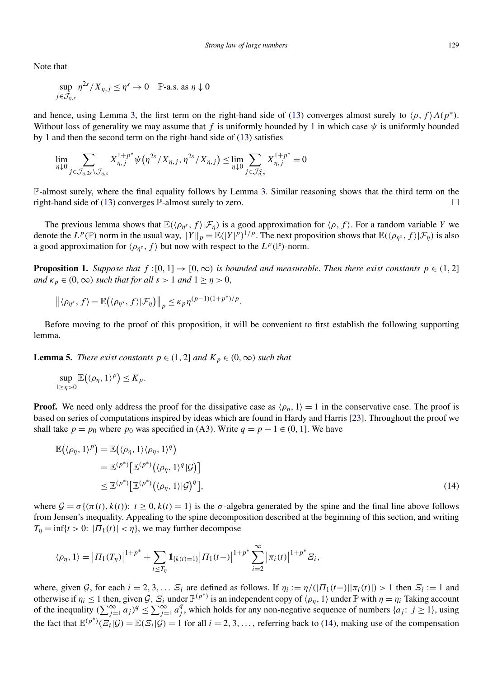<span id="page-10-0"></span>Note that

$$
\sup_{j\in\mathcal{J}_{\eta,s}}\eta^{2s}/X_{\eta,j}\leq\eta^s\to0\quad\mathbb{P}\text{-a.s. as }\eta\downarrow0
$$

and hence, using Lemma [3,](#page-8-0) the first term on the right-hand side of [\(13\)](#page-9-0) converges almost surely to  $\langle \rho, f \rangle \Lambda(p^*)$ . Without loss of generality we may assume that *f* is uniformly bounded by 1 in which case  $\psi$  is uniformly bounded by 1 and then the second term on the right-hand side of [\(13\)](#page-9-0) satisfies

$$
\lim_{\eta \downarrow 0} \sum_{j \in \mathcal{J}_{\eta,2s} \setminus \mathcal{J}_{\eta,s}} X_{\eta,j}^{1+p^*} \psi(\eta^{2s} / X_{\eta,j}, \eta^{2s} / X_{\eta,j}) \leq \lim_{\eta \downarrow 0} \sum_{j \in \mathcal{J}_{\eta,s}^c} X_{\eta,j}^{1+p^*} = 0
$$

P-almost surely, where the final equality follows by Lemma [3.](#page-8-0) Similar reasoning shows that the third term on the right-hand side of [\(13\)](#page-9-0) converges  $\mathbb{P}$ -almost surely to zero.  $\Box$ 

The previous lemma shows that  $\mathbb{E}(\langle \rho_{\eta^s}, f \rangle | \mathcal{F}_{\eta})$  is a good approximation for  $\langle \rho, f \rangle$ . For a random variable *Y* we denote the  $L^p(\mathbb{P})$  norm in the usual way,  $||Y||_p = \mathbb{E}(|Y|^p)^{1/p}$ . The next proposition shows that  $\mathbb{E}(\langle \rho_{\eta^s}, f \rangle | \mathcal{F}_{\eta})$  is also a good approximation for  $\langle \rho_{\eta^s}, f \rangle$  but now with respect to the  $L^p(\mathbb{P})$ -norm.

**Proposition 1.** *Suppose that*  $f:[0,1] \to [0,\infty)$  *is bounded and measurable. Then there exist constants*  $p \in (1,2]$ *and*  $\kappa_p \in (0, \infty)$  *such that for all*  $s > 1$  *and*  $1 \ge \eta > 0$ ,

$$
\left\|\langle \rho_{\eta^s}, f \rangle - \mathbb{E}\big(\langle \rho_{\eta^s}, f \rangle | \mathcal{F}_{\eta}\big) \right\|_p \leq \kappa_p \eta^{(p-1)(1+p^*)/p}.
$$

Before moving to the proof of this proposition, it will be convenient to first establish the following supporting lemma.

**Lemma 5.** *There exist constants*  $p \in (1, 2]$  *and*  $K_p \in (0, \infty)$  *such that* 

$$
\sup_{1\geq \eta>0}\mathbb{E}(\langle \rho_\eta, 1\rangle^p)\leq K_p.
$$

**Proof.** We need only address the proof for the dissipative case as  $\langle \rho_n, 1 \rangle = 1$  in the conservative case. The proof is based on series of computations inspired by ideas which are found in Hardy and Harris [\[23\]](#page-15-0). Throughout the proof we shall take  $p = p_0$  where  $p_0$  was specified in (A3). Write  $q = p - 1 \in (0, 1]$ . We have

$$
\mathbb{E}(\langle \rho_{\eta}, 1 \rangle^{p}) = \mathbb{E}(\langle \rho_{\eta}, 1 \rangle \langle \rho_{\eta}, 1 \rangle^{q})
$$
  
\n
$$
= \mathbb{E}^{(p^{*})} \big[ \mathbb{E}^{(p^{*})} \big( \langle \rho_{\eta}, 1 \rangle^{q} | \mathcal{G} \big) \big]
$$
  
\n
$$
\leq \mathbb{E}^{(p^{*})} \big[ \mathbb{E}^{(p^{*})} \big( \langle \rho_{\eta}, 1 \rangle | \mathcal{G} \big)^{q} \big],
$$
\n(14)

where  $\mathcal{G} = \sigma \{ (\pi(t), k(t)) : t \geq 0, k(t) = 1 \}$  is the  $\sigma$ -algebra generated by the spine and the final line above follows from Jensen's inequality. Appealing to the spine decomposition described at the beginning of this section, and writing  $T_n = \inf\{t > 0: |I_1(t)| < n\}$ , we may further decompose

$$
\langle \rho_{\eta}, 1 \rangle = \left| \Pi_1(T_{\eta}) \right|^{1+p^*} + \sum_{t \leq T_{\eta}} \mathbf{1}_{\{k(t)=1\}} \left| \Pi_1(t-) \right|^{1+p^*} \sum_{i=2}^{\infty} \left| \pi_i(t) \right|^{1+p^*} \mathcal{Z}_i,
$$

where, given G, for each  $i = 2, 3, \ldots$   $\mathbb{E}_i$  are defined as follows. If  $\eta_i := \eta/(|\Pi_1(t-)|\pi_i(t)|) > 1$  then  $\mathbb{E}_i := 1$  and otherwise if  $\eta_i \leq 1$  then, given G,  $\mathcal{Z}_i$  under  $\mathbb{P}^{(p^*)}$  is an independent copy of  $\langle \rho_{\eta}, 1 \rangle$  under  $\mathbb{P}$  with  $\eta = \eta_i$  Taking account of the inequality  $(\sum_{j=1}^{\infty} a_j)^q \leq \sum_{j=1}^{\infty} a_j^q$ , which holds for any non-negative sequence of numbers  $\{a_j : j \geq 1\}$ , using the fact that  $\mathbb{E}^{(p^*)}(E_i|\mathcal{G}) = \mathbb{E}(E_i|\mathcal{G}) = 1$  for all  $i = 2, 3, \ldots$ , referring back to (14), making use of the compensation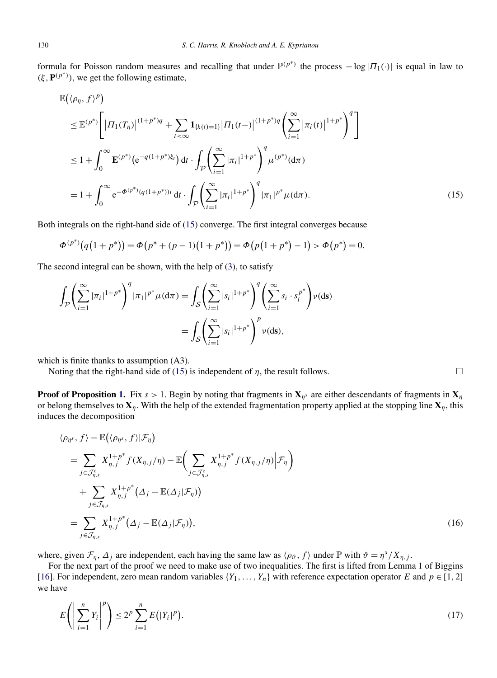<span id="page-11-0"></span>formula for Poisson random measures and recalling that under  $\mathbb{P}^{(p^*)}$  the process  $-\log |I_1(\cdot)|$  is equal in law to  $(\xi, \mathbf{P}^{(p^*)})$ , we get the following estimate,

$$
\mathbb{E}((\rho_{\eta}, f)^{p})\n\leq \mathbb{E}^{(p^{*})}\left[|H_{1}(T_{\eta})|^{(1+p^{*})q} + \sum_{t<\infty} \mathbf{1}_{\{k(t)=1\}}|T_{1}(t-)|^{(1+p^{*})q} \left(\sum_{i=1}^{\infty} |\pi_{i}(t)|^{1+p^{*}}\right)^{q}\right]\n\leq 1 + \int_{0}^{\infty} \mathbf{E}^{(p^{*})} (e^{-q(1+p^{*})\xi_{t}}) dt \cdot \int_{\mathcal{P}} \left(\sum_{i=1}^{\infty} |\pi_{i}|^{1+p^{*}}\right)^{q} \mu^{(p^{*})}(d\pi)\n= 1 + \int_{0}^{\infty} e^{-\Phi^{(p^{*})}(q(1+p^{*}))t} dt \cdot \int_{\mathcal{P}} \left(\sum_{i=1}^{\infty} |\pi_{i}|^{1+p^{*}}\right)^{q} |\pi_{1}|^{p^{*}} \mu(d\pi).
$$
\n(15)

Both integrals on the right-hand side of (15) converge. The first integral converges because

$$
\Phi^{(p^*)}(q(1+p^*)) = \Phi(p^* + (p-1)(1+p^*)) = \Phi(p(1+p^*)-1) > \Phi(p^*) = 0.
$$

The second integral can be shown, with the help of [\(3\)](#page-2-0), to satisfy

$$
\int_{\mathcal{P}} \left( \sum_{i=1}^{\infty} |\pi_i|^{1+p^*} \right)^q |\pi_1|^{p^*} \mu(\mathrm{d}\pi) = \int_{\mathcal{S}} \left( \sum_{i=1}^{\infty} |s_i|^{1+p^*} \right)^q \left( \sum_{i=1}^{\infty} s_i \cdot s_i^{p^*} \right) \nu(\mathrm{d}s) \n= \int_{\mathcal{S}} \left( \sum_{i=1}^{\infty} |s_i|^{1+p^*} \right)^p \nu(\mathrm{d}s),
$$

which is finite thanks to assumption  $(A3)$ .

Noting that the right-hand side of (15) is independent of  $\eta$ , the result follows.

**Proof of Proposition [1.](#page-10-0)** Fix  $s > 1$ . Begin by noting that fragments in  $X_{\eta^s}$  are either descendants of fragments in  $X_{\eta}$ or belong themselves to  $X_n$ . With the help of the extended fragmentation property applied at the stopping line  $X_n$ , this induces the decomposition

$$
\langle \rho_{\eta^s}, f \rangle - \mathbb{E} \big( \langle \rho_{\eta^s}, f \rangle | \mathcal{F}_{\eta} \big)
$$
  
\n
$$
= \sum_{j \in \mathcal{J}_{\eta,s}^c} X_{\eta,j}^{1+p^*} f(X_{\eta,j}/\eta) - \mathbb{E} \bigg( \sum_{j \in \mathcal{J}_{\eta,s}^c} X_{\eta,j}^{1+p^*} f(X_{\eta,j}/\eta) \bigg| \mathcal{F}_{\eta} \bigg)
$$
  
\n
$$
+ \sum_{j \in \mathcal{J}_{\eta,s}^c} X_{\eta,j}^{1+p^*} \big( \Delta_j - \mathbb{E}(\Delta_j | \mathcal{F}_{\eta}) \big)
$$
  
\n
$$
= \sum_{j \in \mathcal{J}_{\eta,s}^c} X_{\eta,j}^{1+p^*} \big( \Delta_j - \mathbb{E}(\Delta_j | \mathcal{F}_{\eta}) \big), \tag{16}
$$

where, given  $\mathcal{F}_n$ ,  $\Delta_i$  are independent, each having the same law as  $\langle \rho_\vartheta, f \rangle$  under  $\mathbb P$  with  $\vartheta = \eta^s / X_{n,i}$ .

For the next part of the proof we need to make use of two inequalities. The first is lifted from Lemma 1 of Biggins [\[16\]](#page-15-0). For independent, zero mean random variables  $\{Y_1, \ldots, Y_n\}$  with reference expectation operator *E* and  $p \in [1, 2]$ we have

$$
E\left(\left|\sum_{i=1}^{n} Y_i\right|^p\right) \le 2^p \sum_{i=1}^{n} E\left(|Y_i|^p\right). \tag{17}
$$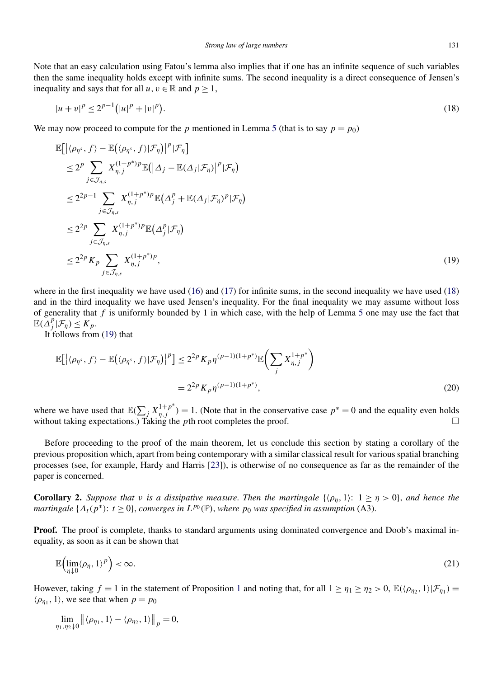<span id="page-12-0"></span>Note that an easy calculation using Fatou's lemma also implies that if one has an infinite sequence of such variables then the same inequality holds except with infinite sums. The second inequality is a direct consequence of Jensen's inequality and says that for all  $u, v \in \mathbb{R}$  and  $p \ge 1$ ,

$$
|u + v|^p \le 2^{p-1} (|u|^p + |v|^p). \tag{18}
$$

We may now proceed to compute for the *p* mentioned in Lemma [5](#page-10-0) (that is to say  $p = p_0$ )

$$
\mathbb{E}\left[\left|\langle\rho_{\eta^s}, f\rangle - \mathbb{E}\left(\langle\rho_{\eta^s}, f\rangle | \mathcal{F}_{\eta}\right)\right|^p | \mathcal{F}_{\eta}\right] \n\leq 2^p \sum_{j \in \mathcal{J}_{\eta,s}} X_{\eta,j}^{(1+p^*)p} \mathbb{E}\left(\left|\Delta_j - \mathbb{E}(\Delta_j | \mathcal{F}_{\eta})\right|^p | \mathcal{F}_{\eta}\right) \n\leq 2^{2p-1} \sum_{j \in \mathcal{J}_{\eta,s}} X_{\eta,j}^{(1+p^*)p} \mathbb{E}\left(\Delta_j^p + \mathbb{E}(\Delta_j | \mathcal{F}_{\eta})^p | \mathcal{F}_{\eta}\right) \n\leq 2^{2p} \sum_{j \in \mathcal{J}_{\eta,s}} X_{\eta,j}^{(1+p^*)p} \mathbb{E}\left(\Delta_j^p | \mathcal{F}_{\eta}\right) \n\leq 2^{2p} K_p \sum_{j \in \mathcal{J}_{\eta,s}} X_{\eta,j}^{(1+p^*)p}, \tag{19}
$$

where in the first inequality we have used  $(16)$  and  $(17)$  for infinite sums, in the second inequality we have used  $(18)$ and in the third inequality we have used Jensen's inequality. For the final inequality we may assume without loss of generality that *f* is uniformly bounded by 1 in which case, with the help of Lemma [5](#page-10-0) one may use the fact that  $\mathbb{E}(\Delta_j^p|\mathcal{F}_\eta) \leq K_p.$ 

It follows from (19) that

$$
\mathbb{E}\big[\big|\langle \rho_{\eta^s}, f \rangle - \mathbb{E}\big(\langle \rho_{\eta^s}, f \rangle | \mathcal{F}_{\eta}\big)\big|^p\big] \le 2^{2p} K_p \eta^{(p-1)(1+p^*)} \mathbb{E}\bigg(\sum_j X_{\eta,j}^{1+p^*}\bigg)
$$

$$
= 2^{2p} K_p \eta^{(p-1)(1+p^*)}, \tag{20}
$$

where we have used that  $\mathbb{E}(\sum_{j} X_{\eta,j}^{1+p^*}) = 1$ . (Note that in the conservative case  $p^* = 0$  and the equality even holds without taking expectations.) Taking the *p*th root completes the proof.  $\Box$ 

Before proceeding to the proof of the main theorem, let us conclude this section by stating a corollary of the previous proposition which, apart from being contemporary with a similar classical result for various spatial branching processes (see, for example, Hardy and Harris [\[23\]](#page-15-0)), is otherwise of no consequence as far as the remainder of the paper is concerned.

**Corollary 2.** *Suppose that ν is a dissipative measure. Then the martingale*  $\{\langle \rho_n, 1 \rangle : 1 \geq \eta > 0\}$ , *and hence the martingale*  $\{A_t(p^*)\colon t \geq 0\}$ , *converges in*  $L^{p_0}(\mathbb{P})$ , *where*  $p_0$  *was specified in assumption* (A3).

**Proof.** The proof is complete, thanks to standard arguments using dominated convergence and Doob's maximal inequality, as soon as it can be shown that

$$
\mathbb{E}\Big(\lim_{\eta \downarrow 0} \langle \rho_\eta, 1 \rangle^p\Big) < \infty. \tag{21}
$$

However, taking  $f = 1$  $f = 1$  in the statement of Proposition 1 and noting that, for all  $1 \ge \eta_1 \ge \eta_2 > 0$ ,  $\mathbb{E}(\langle \rho_{\eta_2}, 1 \rangle | \mathcal{F}_{\eta_1}) =$  $\langle \rho_{n_1}, 1 \rangle$ , we see that when  $p = p_0$ 

lim *η*1*,η*2↓0  $\left\| \langle \rho_{\eta_1}, 1 \rangle - \langle \rho_{\eta_2}, 1 \rangle \right\|_p = 0,$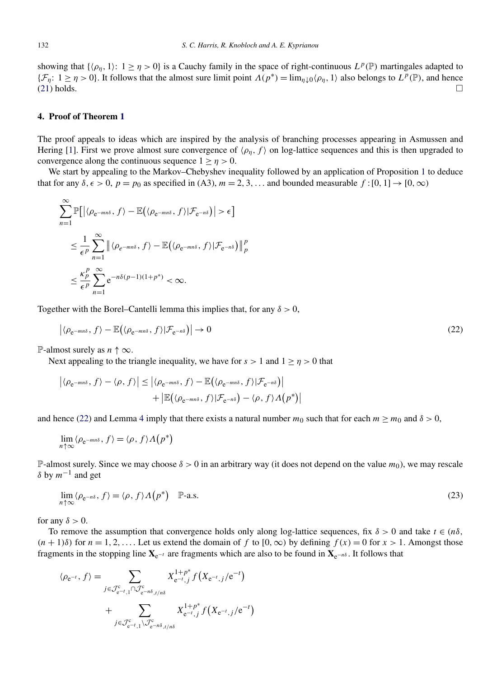<span id="page-13-0"></span>showing that  $\{\langle \rho_{\eta}, 1 \rangle : 1 \ge \eta > 0\}$  is a Cauchy family in the space of right-continuous  $L^p(\mathbb{P})$  martingales adapted to { $\mathcal{F}_\eta$ : 1 ≥ *η* > 0}. It follows that the almost sure limit point *Λ*(*p*<sup>∗</sup>) = lim<sub>*η*</sub><sub>↓0</sub> $\langle \rho_\eta, 1 \rangle$  also belongs to *L*<sup>*p*</sup>( $\mathbb{P}$ ), and hence (21) holds.  $(21)$  holds.

## **4. Proof of Theorem [1](#page-5-0)**

The proof appeals to ideas which are inspired by the analysis of branching processes appearing in Asmussen and Hering [\[1\]](#page-14-0). First we prove almost sure convergence of  $\langle \rho_n, f \rangle$  on log-lattice sequences and this is then upgraded to convergence along the continuous sequence  $1 > \eta > 0$ .

We start by appealing to the Markov–Chebyshev inequality followed by an application of Proposition [1](#page-10-0) to deduce that for any  $\delta$ ,  $\epsilon > 0$ ,  $p = p_0$  as specified in (A3),  $m = 2, 3, \ldots$  and bounded measurable  $f : [0, 1] \rightarrow [0, \infty)$ 

$$
\sum_{n=1}^{\infty} \mathbb{P}\Big[ \Big| \langle \rho_{e^{-mn\delta}}, f \rangle - \mathbb{E}\Big( \langle \rho_{e^{-mn\delta}}, f \rangle | \mathcal{F}_{e^{-n\delta}} \Big) \Big| > \epsilon \Big]
$$
  

$$
\leq \frac{1}{\epsilon^p} \sum_{n=1}^{\infty} \Big| \langle \rho_{e^{-mn\delta}}, f \rangle - \mathbb{E}\Big( \langle \rho_{e^{-mn\delta}}, f \rangle | \mathcal{F}_{e^{-n\delta}} \Big) \Big|_{p}^{p}
$$
  

$$
\leq \frac{\kappa_p^p}{\epsilon^p} \sum_{n=1}^{\infty} e^{-n\delta(p-1)(1+p^*)} < \infty.
$$

Together with the Borel–Cantelli lemma this implies that, for any  $\delta > 0$ ,

$$
\left| \langle \rho_{e^{-mn\delta}}, f \rangle - \mathbb{E} \big( \langle \rho_{e^{-mn\delta}}, f \rangle | \mathcal{F}_{e^{-n\delta}} \big) \right| \to 0 \tag{22}
$$

P-almost surely as  $n \uparrow \infty$ .

Next appealing to the triangle inequality, we have for  $s > 1$  and  $1 \ge \eta > 0$  that

$$
\left| \langle \rho_{e^{-mn\delta}}, f \rangle - \langle \rho, f \rangle \right| \leq \left| \langle \rho_{e^{-mn\delta}}, f \rangle - \mathbb{E} \big( \langle \rho_{e^{-mn\delta}}, f \rangle | \mathcal{F}_{e^{-n\delta}} \big) \right|
$$
  
+ 
$$
\left| \mathbb{E} \big( \langle \rho_{e^{-mn\delta}}, f \rangle | \mathcal{F}_{e^{-n\delta}} \big) - \langle \rho, f \rangle \Lambda \big( p^* \big) \right|
$$

and hence (22) and Lemma [4](#page-9-0) imply that there exists a natural number  $m_0$  such that for each  $m \ge m_0$  and  $\delta > 0$ ,

$$
\lim_{n \uparrow \infty} \langle \rho_{e^{-mn\delta}}, f \rangle = \langle \rho, f \rangle \Lambda(p^*)
$$

P-almost surely. Since we may choose  $\delta > 0$  in an arbitrary way (it does not depend on the value  $m_0$ ), we may rescale *δ* by *m*−<sup>1</sup> and get

$$
\lim_{n \uparrow \infty} \langle \rho_{e^{-n\delta}}, f \rangle = \langle \rho, f \rangle \Lambda \big( p^* \big) \quad \mathbb{P}\text{-a.s.} \tag{23}
$$

for any  $\delta > 0$ .

To remove the assumption that convergence holds only along log-lattice sequences, fix  $\delta > 0$  and take  $t \in (n\delta,$  $(n + 1)\delta$  for  $n = 1, 2, \ldots$  Let us extend the domain of *f* to  $[0, \infty)$  by defining  $f(x) = 0$  for  $x > 1$ . Amongst those fragments in the stopping line  $X_{e^{-t}}$  are fragments which are also to be found in  $X_{e^{-n\delta}}$ . It follows that

$$
\langle \rho_{e^{-t}}, f \rangle = \sum_{j \in \mathcal{J}_{e^{-t},1}^c \cap \mathcal{J}_{e^{-n\delta},t/n\delta}^c} X_{e^{-t},j}^{1+p^*} f(X_{e^{-t},j}/e^{-t})
$$

$$
+ \sum_{j \in \mathcal{J}_{e^{-t},1}^c \setminus \mathcal{J}_{e^{-n\delta},t/n\delta}^c} X_{e^{-t},j}^{1+p^*} f(X_{e^{-t},j}/e^{-t})
$$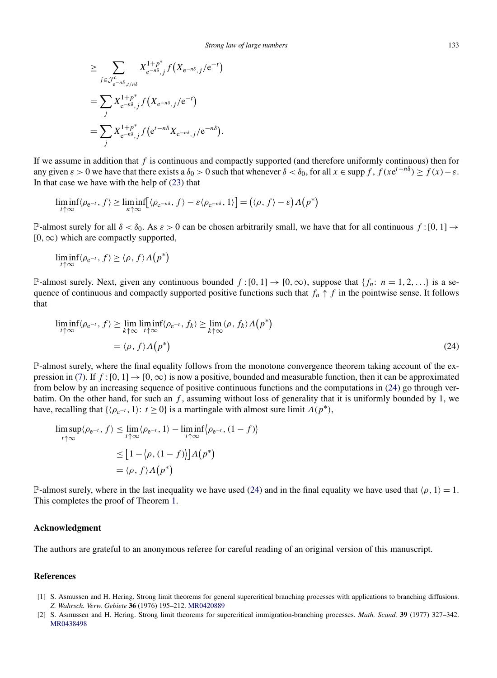<span id="page-14-0"></span>
$$
\geq \sum_{j \in \mathcal{J}_{e^{-n\delta},j}^{c}} X_{e^{-n\delta},j}^{1+p^*} f(X_{e^{-n\delta},j}/e^{-t})
$$
  
= 
$$
\sum_{j} X_{e^{-n\delta},j}^{1+p^*} f(X_{e^{-n\delta},j}/e^{-t})
$$
  
= 
$$
\sum_{j} X_{e^{-n\delta},j}^{1+p^*} f(e^{t-n\delta} X_{e^{-n\delta},j}/e^{-n\delta}).
$$

If we assume in addition that *f* is continuous and compactly supported (and therefore uniformly continuous) then for any given  $\varepsilon > 0$  we have that there exists a  $\delta_0 > 0$  such that whenever  $\delta < \delta_0$ , for all  $x \in \text{supp } f$ ,  $f(xe^{t-n\delta}) \ge f(x) - \varepsilon$ . In that case we have with the help of [\(23\)](#page-13-0) that

$$
\liminf_{t \uparrow \infty} \langle \rho_{e^{-t}}, f \rangle \ge \liminf_{n \uparrow \infty} \left[ \langle \rho_{e^{-n\delta}}, f \rangle - \varepsilon \langle \rho_{e^{-n\delta}}, 1 \rangle \right] = \left( \langle \rho, f \rangle - \varepsilon \right) \Lambda \left( p^* \right)
$$

P-almost surely for all  $\delta < \delta_0$ . As  $\varepsilon > 0$  can be chosen arbitrarily small, we have that for all continuous  $f:[0,1] \to$ [0*,*∞*)* which are compactly supported,

$$
\liminf_{t \uparrow \infty} \langle \rho_{e^{-t}}, f \rangle \ge \langle \rho, f \rangle \Lambda(p^*)
$$

P-almost surely. Next, given any continuous bounded  $f:[0,1] \to [0,\infty)$ , suppose that  $\{f_n: n = 1,2,...\}$  is a sequence of continuous and compactly supported positive functions such that  $f_n \uparrow f$  in the pointwise sense. It follows that

$$
\liminf_{t \uparrow \infty} \langle \rho_{e^{-t}}, f \rangle \ge \lim_{k \uparrow \infty} \liminf_{t \uparrow \infty} \langle \rho_{e^{-t}}, f_k \rangle \ge \lim_{k \uparrow \infty} \langle \rho, f_k \rangle \Lambda \big( p^* \big)
$$
\n
$$
= \langle \rho, f \rangle \Lambda \big( p^* \big) \tag{24}
$$

P-almost surely, where the final equality follows from the monotone convergence theorem taking account of the ex-pression in [\(7\)](#page-5-0). If  $f$  : [0, 1]  $\rightarrow$  [0,  $\infty$ ) is now a positive, bounded and measurable function, then it can be approximated from below by an increasing sequence of positive continuous functions and the computations in (24) go through verbatim. On the other hand, for such an *f* , assuming without loss of generality that it is uniformly bounded by 1, we have, recalling that  $\{\langle \rho_{e^{-t}}, 1 \rangle : t \ge 0\}$  is a martingale with almost sure limit  $\Lambda(p^*),$ 

$$
\limsup_{t \uparrow \infty} \langle \rho_{e^{-t}}, f \rangle \leq \lim_{t \uparrow \infty} \langle \rho_{e^{-t}}, 1 \rangle - \liminf_{t \uparrow \infty} \langle \rho_{e^{-t}}, (1 - f) \rangle
$$

$$
\leq [1 - \langle \rho, (1 - f) \rangle] \Lambda(p^*)
$$

$$
= \langle \rho, f \rangle \Lambda(p^*)
$$

P-almost surely, where in the last inequality we have used (24) and in the final equality we have used that  $\langle \rho, 1 \rangle = 1$ . This completes the proof of Theorem [1.](#page-5-0)

#### **Acknowledgment**

The authors are grateful to an anonymous referee for careful reading of an original version of this manuscript.

## **References**

- [1] S. Asmussen and H. Hering. Strong limit theorems for general supercritical branching processes with applications to branching diffusions. *Z. Wahrsch. Verw. Gebiete* **36** (1976) 195–212. [MR0420889](http://www.ams.org/mathscinet-getitem?mr=0420889)
- [2] S. Asmussen and H. Hering. Strong limit theorems for supercritical immigration-branching processes. *Math. Scand.* **39** (1977) 327–342. [MR0438498](http://www.ams.org/mathscinet-getitem?mr=0438498)